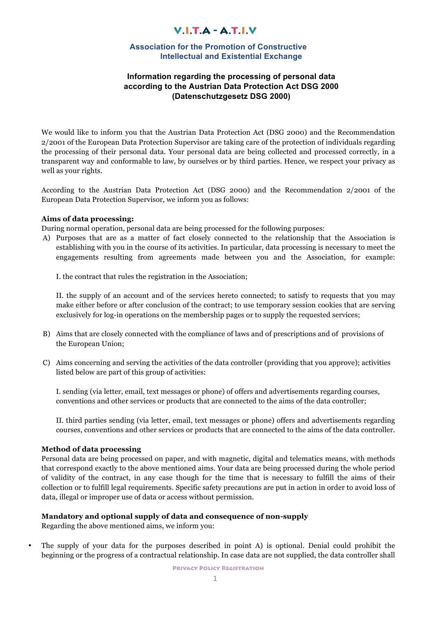## $V.I.T.A - A.T.I.V$

### **Association for the Promotion of Constructive Intellectual and Existential Exchange**

## **Information regarding the processing of personal data according to the Austrian Data Protection Act DSG 2000 (Datenschutzgesetz DSG 2000)**

We would like to inform you that the Austrian Data Protection Act (DSG 2000) and the Recommendation 2/2001 of the European Data Protection Supervisor are taking care of the protection of individuals regarding the processing of their personal data. Your personal data are being collected and processed correctly, in a transparent way and conformable to law, by ourselves or by third parties. Hence, we respect your privacy as well as your rights.

According to the Austrian Data Protection Act (DSG 2000) and the Recommendation 2/2001 of the European Data Protection Supervisor, we inform you as follows:

#### **Aims of data processing:**

During normal operation, personal data are being processed for the following purposes:

A) Purposes that are as a matter of fact closely connected to the relationship that the Association is establishing with you in the course of its activities. In particular, data processing is necessary to meet the engagements resulting from agreements made between you and the Association, for example:

I. the contract that rules the registration in the Association;

II. the supply of an account and of the services hereto connected; to satisfy to requests that you may make either before or after conclusion of the contract; to use temporary session cookies that are serving exclusively for log-in operations on the membership pages or to supply the requested services;

- B) Aims that are closely connected with the compliance of laws and of prescriptions and of provisions of the European Union;
- C) Aims concerning and serving the activities of the data controller (providing that you approve); activities listed below are part of this group of activities:

I. sending (via letter, email, text messages or phone) of offers and advertisements regarding courses, conventions and other services or products that are connected to the aims of the data controller;

II. third parties sending (via letter, email, text messages or phone) offers and advertisements regarding courses, conventions and other services or products that are connected to the aims of the data controller.

#### **Method of data processing**

Personal data are being processed on paper, and with magnetic, digital and telematics means, with methods that correspond exactly to the above mentioned aims. Your data are being processed during the whole period of validity of the contract, in any case though for the time that is necessary to fulfill the aims of their collection or to fulfill legal requirements. Specific safety precautions are put in action in order to avoid loss of data, illegal or improper use of data or access without permission.

### **Mandatory and optional supply of data and consequence of non-supply**

Regarding the above mentioned aims, we inform you:

• The supply of your data for the purposes described in point A) is optional. Denial could prohibit the beginning or the progress of a contractual relationship. In case data are not supplied, the data controller shall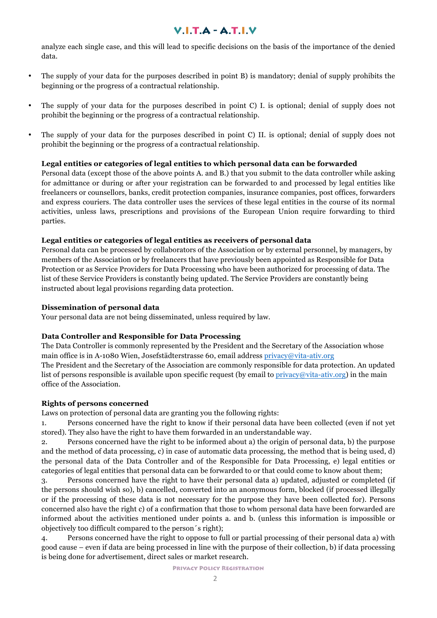## $V.I.T.A - A.T.I.V$

analyze each single case, and this will lead to specific decisions on the basis of the importance of the denied data.

- The supply of your data for the purposes described in point B) is mandatory; denial of supply prohibits the beginning or the progress of a contractual relationship.
- The supply of your data for the purposes described in point C) I. is optional; denial of supply does not prohibit the beginning or the progress of a contractual relationship.
- The supply of your data for the purposes described in point C) II. is optional; denial of supply does not prohibit the beginning or the progress of a contractual relationship.

## **Legal entities or categories of legal entities to which personal data can be forwarded**

Personal data (except those of the above points A. and B.) that you submit to the data controller while asking for admittance or during or after your registration can be forwarded to and processed by legal entities like freelancers or counsellors, banks, credit protection companies, insurance companies, post offices, forwarders and express couriers. The data controller uses the services of these legal entities in the course of its normal activities, unless laws, prescriptions and provisions of the European Union require forwarding to third parties.

## **Legal entities or categories of legal entities as receivers of personal data**

Personal data can be processed by collaborators of the Association or by external personnel, by managers, by members of the Association or by freelancers that have previously been appointed as Responsible for Data Protection or as Service Providers for Data Processing who have been authorized for processing of data. The list of these Service Providers is constantly being updated. The Service Providers are constantly being instructed about legal provisions regarding data protection.

### **Dissemination of personal data**

Your personal data are not being disseminated, unless required by law.

## **Data Controller and Responsible for Data Processing**

The Data Controller is commonly represented by the President and the Secretary of the Association whose main office is in A-1080 Wien, Josefstädterstrasse 60, email address privacy@vita-ativ.org The President and the Secretary of the Association are commonly responsible for data protection. An updated list of persons responsible is available upon specific request (by email to  $\text{privacy}(\omega\text{vita-ativ.org})$  in the main office of the Association.

### **Rights of persons concerned**

Laws on protection of personal data are granting you the following rights:

1. Persons concerned have the right to know if their personal data have been collected (even if not yet stored). They also have the right to have them forwarded in an understandable way.

2. Persons concerned have the right to be informed about a) the origin of personal data, b) the purpose and the method of data processing, c) in case of automatic data processing, the method that is being used, d) the personal data of the Data Controller and of the Responsible for Data Processing, e) legal entities or categories of legal entities that personal data can be forwarded to or that could come to know about them;

3. Persons concerned have the right to have their personal data a) updated, adjusted or completed (if the persons should wish so), b) cancelled, converted into an anonymous form, blocked (if processed illegally or if the processing of these data is not necessary for the purpose they have been collected for). Persons concerned also have the right c) of a confirmation that those to whom personal data have been forwarded are informed about the activities mentioned under points a. and b. (unless this information is impossible or objectively too difficult compared to the person´s right);

4. Persons concerned have the right to oppose to full or partial processing of their personal data a) with good cause – even if data are being processed in line with the purpose of their collection, b) if data processing is being done for advertisement, direct sales or market research.